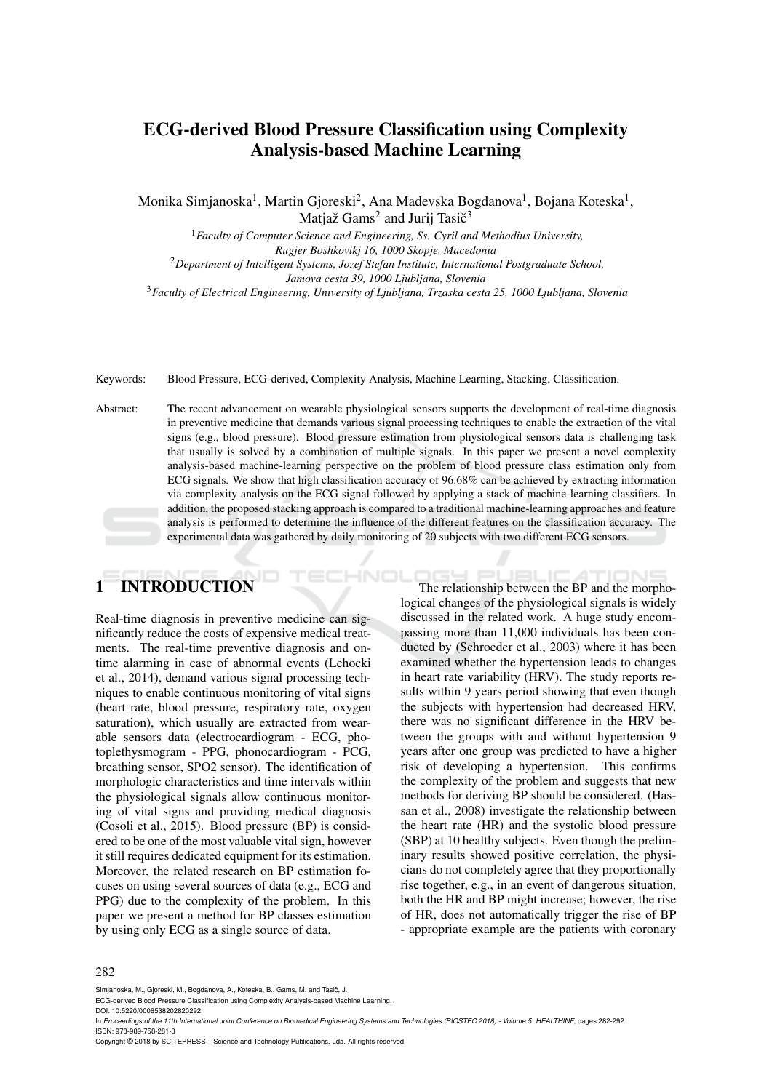# ECG-derived Blood Pressure Classification using Complexity Analysis-based Machine Learning

Monika Simjanoska $^1$ , Martin Gjoreski $^2$ , Ana Madevska Bogdanova $^1$ , Bojana Koteska $^1$ , Matjaž Gams<sup>2</sup> and Jurij Tasič<sup>3</sup>

<sup>1</sup>*Faculty of Computer Science and Engineering, Ss. Cyril and Methodius University, Rugjer Boshkovikj 16, 1000 Skopje, Macedonia*

<sup>2</sup>*Department of Intelligent Systems, Jozef Stefan Institute, International Postgraduate School, Jamova cesta 39, 1000 Ljubljana, Slovenia* <sup>3</sup>*Faculty of Electrical Engineering, University of Ljubljana, Trzaska cesta 25, 1000 Ljubljana, Slovenia*

Keywords: Blood Pressure, ECG-derived, Complexity Analysis, Machine Learning, Stacking, Classification.

Abstract: The recent advancement on wearable physiological sensors supports the development of real-time diagnosis in preventive medicine that demands various signal processing techniques to enable the extraction of the vital signs (e.g., blood pressure). Blood pressure estimation from physiological sensors data is challenging task that usually is solved by a combination of multiple signals. In this paper we present a novel complexity analysis-based machine-learning perspective on the problem of blood pressure class estimation only from ECG signals. We show that high classification accuracy of 96.68% can be achieved by extracting information via complexity analysis on the ECG signal followed by applying a stack of machine-learning classifiers. In addition, the proposed stacking approach is compared to a traditional machine-learning approaches and feature analysis is performed to determine the influence of the different features on the classification accuracy. The experimental data was gathered by daily monitoring of 20 subjects with two different ECG sensors.

# **INTRODUCTION**

Real-time diagnosis in preventive medicine can significantly reduce the costs of expensive medical treatments. The real-time preventive diagnosis and ontime alarming in case of abnormal events (Lehocki et al., 2014), demand various signal processing techniques to enable continuous monitoring of vital signs (heart rate, blood pressure, respiratory rate, oxygen saturation), which usually are extracted from wearable sensors data (electrocardiogram - ECG, photoplethysmogram - PPG, phonocardiogram - PCG, breathing sensor, SPO2 sensor). The identification of morphologic characteristics and time intervals within the physiological signals allow continuous monitoring of vital signs and providing medical diagnosis (Cosoli et al., 2015). Blood pressure (BP) is considered to be one of the most valuable vital sign, however it still requires dedicated equipment for its estimation. Moreover, the related research on BP estimation focuses on using several sources of data (e.g., ECG and PPG) due to the complexity of the problem. In this paper we present a method for BP classes estimation by using only ECG as a single source of data.

The relationship between the BP and the morphological changes of the physiological signals is widely discussed in the related work. A huge study encompassing more than 11,000 individuals has been conducted by (Schroeder et al., 2003) where it has been examined whether the hypertension leads to changes in heart rate variability (HRV). The study reports results within 9 years period showing that even though the subjects with hypertension had decreased HRV, there was no significant difference in the HRV between the groups with and without hypertension 9 years after one group was predicted to have a higher risk of developing a hypertension. This confirms the complexity of the problem and suggests that new methods for deriving BP should be considered. (Hassan et al., 2008) investigate the relationship between the heart rate (HR) and the systolic blood pressure (SBP) at 10 healthy subjects. Even though the preliminary results showed positive correlation, the physicians do not completely agree that they proportionally rise together, e.g., in an event of dangerous situation, both the HR and BP might increase; however, the rise of HR, does not automatically trigger the rise of BP - appropriate example are the patients with coronary

#### 282

Simianoska, M., Gioreski, M., Bogdanova, A., Koteska, B., Gams, M. and Tasič, J.

ECG-derived Blood Pressure Classification using Complexity Analysis-based Machine Learning.

DOI: 10.5220/0006538202820292

In *Proceedings of the 11th International Joint Conference on Biomedical Engineering Systems and Technologies (BIOSTEC 2018) - Volume 5: HEALTHINF*, pages 282-292 ISBN: 978-989-758-281-3

Copyright © 2018 by SCITEPRESS – Science and Technology Publications, Lda. All rights reserved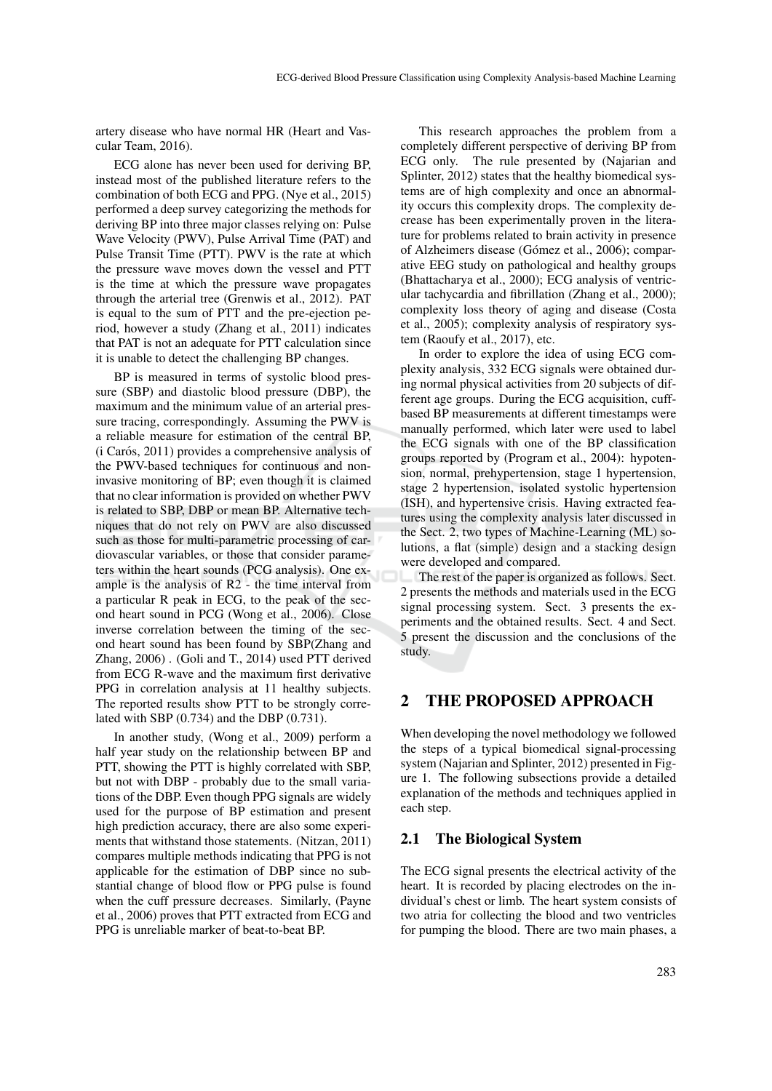artery disease who have normal HR (Heart and Vascular Team, 2016).

ECG alone has never been used for deriving BP, instead most of the published literature refers to the combination of both ECG and PPG. (Nye et al., 2015) performed a deep survey categorizing the methods for deriving BP into three major classes relying on: Pulse Wave Velocity (PWV), Pulse Arrival Time (PAT) and Pulse Transit Time (PTT). PWV is the rate at which the pressure wave moves down the vessel and PTT is the time at which the pressure wave propagates through the arterial tree (Grenwis et al., 2012). PAT is equal to the sum of PTT and the pre-ejection period, however a study (Zhang et al., 2011) indicates that PAT is not an adequate for PTT calculation since it is unable to detect the challenging BP changes.

BP is measured in terms of systolic blood pressure (SBP) and diastolic blood pressure (DBP), the maximum and the minimum value of an arterial pressure tracing, correspondingly. Assuming the PWV is a reliable measure for estimation of the central BP,  $(i)$  Carós, 2011) provides a comprehensive analysis of the PWV-based techniques for continuous and noninvasive monitoring of BP; even though it is claimed that no clear information is provided on whether PWV is related to SBP, DBP or mean BP. Alternative techniques that do not rely on PWV are also discussed such as those for multi-parametric processing of cardiovascular variables, or those that consider parameters within the heart sounds (PCG analysis). One example is the analysis of R2 - the time interval from a particular R peak in ECG, to the peak of the second heart sound in PCG (Wong et al., 2006). Close inverse correlation between the timing of the second heart sound has been found by SBP(Zhang and Zhang, 2006) . (Goli and T., 2014) used PTT derived from ECG R-wave and the maximum first derivative PPG in correlation analysis at 11 healthy subjects. The reported results show PTT to be strongly correlated with SBP (0.734) and the DBP (0.731).

In another study, (Wong et al., 2009) perform a half year study on the relationship between BP and PTT, showing the PTT is highly correlated with SBP, but not with DBP - probably due to the small variations of the DBP. Even though PPG signals are widely used for the purpose of BP estimation and present high prediction accuracy, there are also some experiments that withstand those statements. (Nitzan, 2011) compares multiple methods indicating that PPG is not applicable for the estimation of DBP since no substantial change of blood flow or PPG pulse is found when the cuff pressure decreases. Similarly, (Payne et al., 2006) proves that PTT extracted from ECG and PPG is unreliable marker of beat-to-beat BP.

This research approaches the problem from a completely different perspective of deriving BP from ECG only. The rule presented by (Najarian and Splinter, 2012) states that the healthy biomedical systems are of high complexity and once an abnormality occurs this complexity drops. The complexity decrease has been experimentally proven in the literature for problems related to brain activity in presence of Alzheimers disease (Gómez et al., 2006); comparative EEG study on pathological and healthy groups (Bhattacharya et al., 2000); ECG analysis of ventricular tachycardia and fibrillation (Zhang et al., 2000); complexity loss theory of aging and disease (Costa et al., 2005); complexity analysis of respiratory system (Raoufy et al., 2017), etc.

In order to explore the idea of using ECG complexity analysis, 332 ECG signals were obtained during normal physical activities from 20 subjects of different age groups. During the ECG acquisition, cuffbased BP measurements at different timestamps were manually performed, which later were used to label the ECG signals with one of the BP classification groups reported by (Program et al., 2004): hypotension, normal, prehypertension, stage 1 hypertension, stage 2 hypertension, isolated systolic hypertension (ISH), and hypertensive crisis. Having extracted features using the complexity analysis later discussed in the Sect. 2, two types of Machine-Learning (ML) solutions, a flat (simple) design and a stacking design were developed and compared.

The rest of the paper is organized as follows. Sect. 2 presents the methods and materials used in the ECG signal processing system. Sect. 3 presents the experiments and the obtained results. Sect. 4 and Sect. 5 present the discussion and the conclusions of the study.

# 2 THE PROPOSED APPROACH

When developing the novel methodology we followed the steps of a typical biomedical signal-processing system (Najarian and Splinter, 2012) presented in Figure 1. The following subsections provide a detailed explanation of the methods and techniques applied in each step.

## 2.1 The Biological System

The ECG signal presents the electrical activity of the heart. It is recorded by placing electrodes on the individual's chest or limb. The heart system consists of two atria for collecting the blood and two ventricles for pumping the blood. There are two main phases, a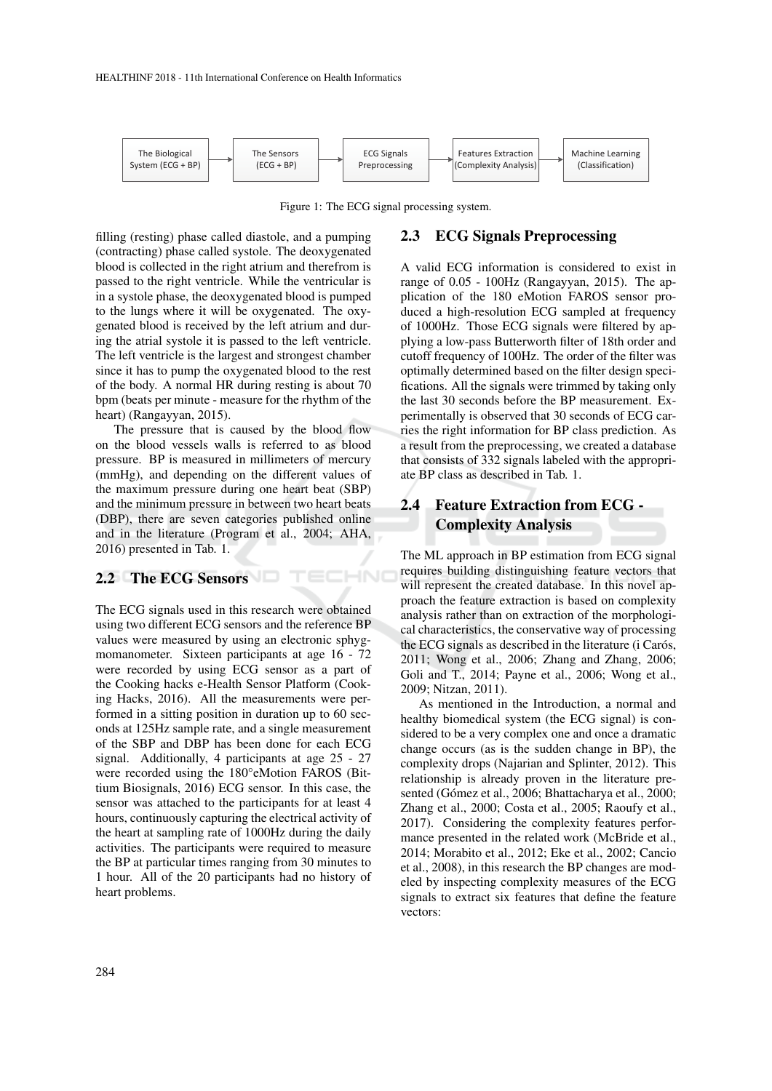

Figure 1: The ECG signal processing system.

HNI

# 2.3 ECG Signals Preprocessing

filling (resting) phase called diastole, and a pumping (contracting) phase called systole. The deoxygenated blood is collected in the right atrium and therefrom is passed to the right ventricle. While the ventricular is in a systole phase, the deoxygenated blood is pumped to the lungs where it will be oxygenated. The oxygenated blood is received by the left atrium and during the atrial systole it is passed to the left ventricle. The left ventricle is the largest and strongest chamber since it has to pump the oxygenated blood to the rest of the body. A normal HR during resting is about 70 bpm (beats per minute - measure for the rhythm of the heart) (Rangayyan, 2015).

The pressure that is caused by the blood flow on the blood vessels walls is referred to as blood pressure. BP is measured in millimeters of mercury (mmHg), and depending on the different values of the maximum pressure during one heart beat (SBP) and the minimum pressure in between two heart beats (DBP), there are seven categories published online and in the literature (Program et al., 2004; AHA, 2016) presented in Tab. 1.

# 2.2 The ECG Sensors

The ECG signals used in this research were obtained using two different ECG sensors and the reference BP values were measured by using an electronic sphygmomanometer. Sixteen participants at age 16 - 72 were recorded by using ECG sensor as a part of the Cooking hacks e-Health Sensor Platform (Cooking Hacks, 2016). All the measurements were performed in a sitting position in duration up to 60 seconds at 125Hz sample rate, and a single measurement of the SBP and DBP has been done for each ECG signal. Additionally, 4 participants at age 25 - 27 were recorded using the 180°eMotion FAROS (Bittium Biosignals, 2016) ECG sensor. In this case, the sensor was attached to the participants for at least 4 hours, continuously capturing the electrical activity of the heart at sampling rate of 1000Hz during the daily activities. The participants were required to measure the BP at particular times ranging from 30 minutes to 1 hour. All of the 20 participants had no history of heart problems.

range of 0.05 - 100Hz (Rangayyan, 2015). The application of the 180 eMotion FAROS sensor produced a high-resolution ECG sampled at frequency of 1000Hz. Those ECG signals were filtered by applying a low-pass Butterworth filter of 18th order and cutoff frequency of 100Hz. The order of the filter was optimally determined based on the filter design specifications. All the signals were trimmed by taking only the last 30 seconds before the BP measurement. Experimentally is observed that 30 seconds of ECG carries the right information for BP class prediction. As a result from the preprocessing, we created a database that consists of 332 signals labeled with the appropriate BP class as described in Tab. 1.

A valid ECG information is considered to exist in

# 2.4 Feature Extraction from ECG - Complexity Analysis

The ML approach in BP estimation from ECG signal requires building distinguishing feature vectors that will represent the created database. In this novel approach the feature extraction is based on complexity analysis rather than on extraction of the morphological characteristics, the conservative way of processing the ECG signals as described in the literature (i Carós, 2011; Wong et al., 2006; Zhang and Zhang, 2006; Goli and T., 2014; Payne et al., 2006; Wong et al., 2009; Nitzan, 2011).

As mentioned in the Introduction, a normal and healthy biomedical system (the ECG signal) is considered to be a very complex one and once a dramatic change occurs (as is the sudden change in BP), the complexity drops (Najarian and Splinter, 2012). This relationship is already proven in the literature presented (Gómez et al., 2006; Bhattacharya et al., 2000; Zhang et al., 2000; Costa et al., 2005; Raoufy et al., 2017). Considering the complexity features performance presented in the related work (McBride et al., 2014; Morabito et al., 2012; Eke et al., 2002; Cancio et al., 2008), in this research the BP changes are modeled by inspecting complexity measures of the ECG signals to extract six features that define the feature vectors: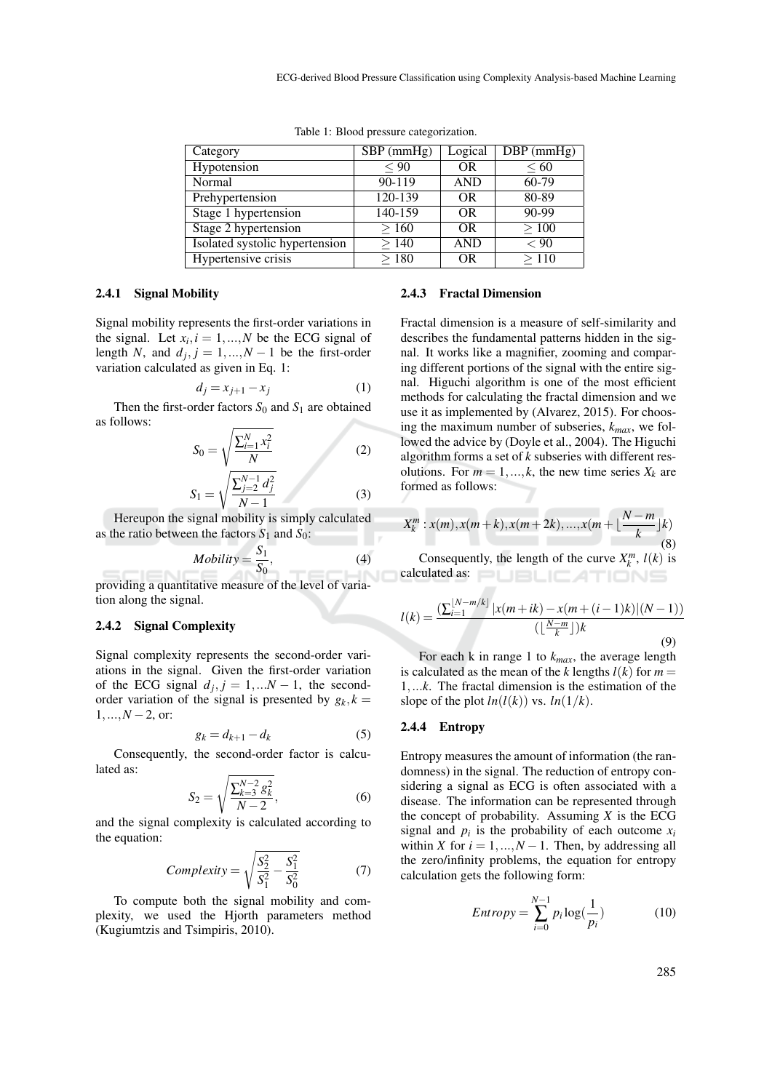| Category                       | $SBP$ (mmHg) | Logical        | $\overline{DBP}$ (mmHg) |
|--------------------------------|--------------|----------------|-------------------------|
| Hypotension                    | $\leq 90$    | 0 <sub>R</sub> | $\leq 60$               |
| Normal                         | $90 - 119$   | <b>AND</b>     | $60-79$                 |
| Prehypertension                | $120 - 139$  | <b>OR</b>      | 80-89                   |
| Stage 1 hypertension           | 140-159      | <b>OR</b>      | $90 - 99$               |
| Stage 2 hypertension           | >160         | <b>OR</b>      | >100                    |
| Isolated systolic hypertension | >140         | <b>AND</b>     | < 90                    |
| Hypertensive crisis            | >180         | <b>OR</b>      | >110                    |

Table 1: Blood pressure categorization.

#### 2.4.1 Signal Mobility

Signal mobility represents the first-order variations in the signal. Let  $x_i$ ,  $i = 1, ..., N$  be the ECG signal of length *N*, and  $d_j$ ,  $j = 1,...,N-1$  be the first-order variation calculated as given in Eq. 1:

$$
d_j = x_{j+1} - x_j \tag{1}
$$

Then the first-order factors  $S_0$  and  $S_1$  are obtained as follows:

$$
S_0 = \sqrt{\frac{\sum_{i=1}^{N} x_i^2}{N}}
$$
 (2)

$$
S_1 = \sqrt{\frac{\sum_{j=2}^{N-1} d_j^2}{N-1}}
$$
(3)

Hereupon the signal mobility is simply calculated as the ratio between the factors  $S_1$  and  $S_0$ :

$$
Mobility = \frac{S_1}{S_0},\tag{4}
$$

providing a quantitative measure of the level of variation along the signal.

#### 2.4.2 Signal Complexity

Signal complexity represents the second-order variations in the signal. Given the first-order variation of the ECG signal  $d_j$ ,  $j = 1,...N - 1$ , the secondorder variation of the signal is presented by  $g_k, k =$  $1, \ldots, N-2$ , or:

$$
g_k = d_{k+1} - d_k \tag{5}
$$

Consequently, the second-order factor is calculated as:

$$
S_2 = \sqrt{\frac{\sum_{k=3}^{N-2} g_k^2}{N-2}},\tag{6}
$$

and the signal complexity is calculated according to the equation:

Complexity = 
$$
\sqrt{\frac{S_2^2}{S_1^2} - \frac{S_1^2}{S_0^2}}
$$
 (7)

To compute both the signal mobility and complexity, we used the Hjorth parameters method (Kugiumtzis and Tsimpiris, 2010).

#### 2.4.3 Fractal Dimension

Fractal dimension is a measure of self-similarity and describes the fundamental patterns hidden in the signal. It works like a magnifier, zooming and comparing different portions of the signal with the entire signal. Higuchi algorithm is one of the most efficient methods for calculating the fractal dimension and we use it as implemented by (Alvarez, 2015). For choosing the maximum number of subseries, *kmax*, we followed the advice by (Doyle et al., 2004). The Higuchi algorithm forms a set of *k* subseries with different resolutions. For  $m = 1, ..., k$ , the new time series  $X_k$  are formed as follows:

$$
X_k^m: x(m), x(m+k), x(m+2k), ..., x(m+\lfloor \frac{N-m}{k} \rfloor k)
$$
\n(8)

Consequently, the length of the curve  $X_k^m$ ,  $l(k)$  is calculated as: **DUBLICATIONS** 

$$
l(k) = \frac{\left(\sum_{i=1}^{\lfloor N-m/k \rfloor} |x(m+ik) - x(m + (i-1)k)|(N-1)\right)}{\left(\lfloor \frac{N-m}{k} \rfloor\right)k}
$$
(9)

For each k in range 1 to  $k_{max}$ , the average length is calculated as the mean of the *k* lengths  $l(k)$  for  $m =$ 1,...*k*. The fractal dimension is the estimation of the slope of the plot  $ln(l(k))$  vs.  $ln(1/k)$ .

#### 2.4.4 Entropy

Entropy measures the amount of information (the randomness) in the signal. The reduction of entropy considering a signal as ECG is often associated with a disease. The information can be represented through the concept of probability. Assuming  $X$  is the ECG signal and  $p_i$  is the probability of each outcome  $x_i$ within *X* for  $i = 1, ..., N - 1$ . Then, by addressing all the zero/infinity problems, the equation for entropy calculation gets the following form:

$$
Entropy = \sum_{i=0}^{N-1} p_i \log(\frac{1}{p_i})
$$
 (10)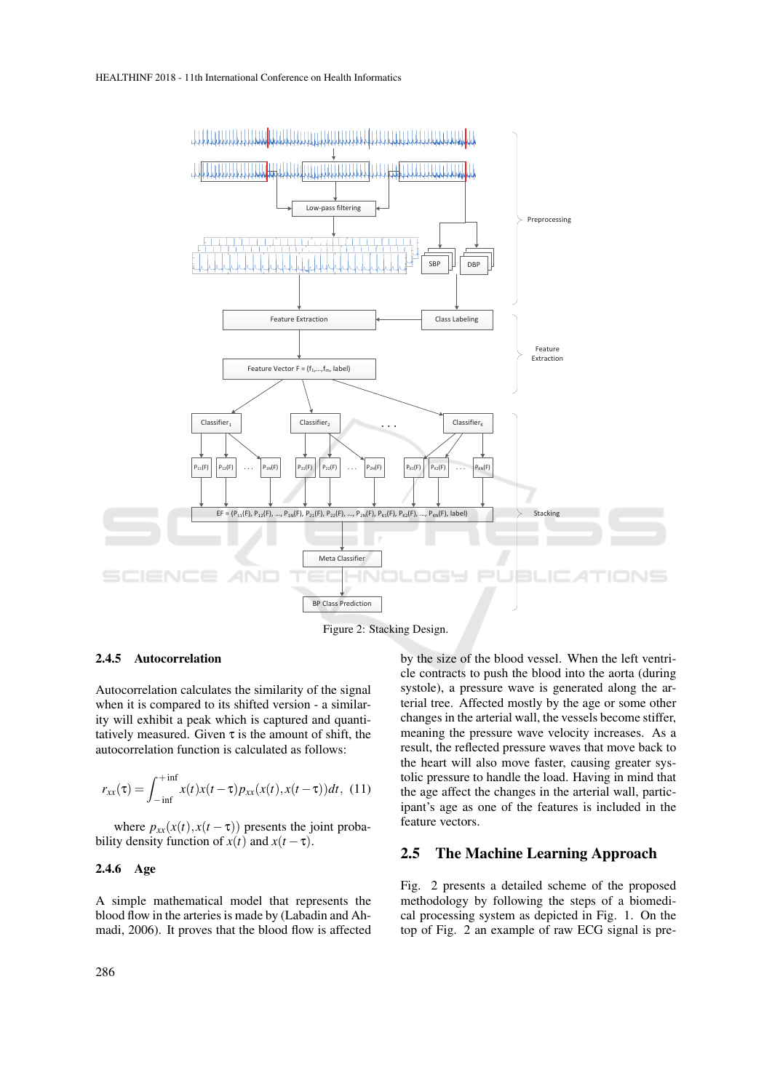

Figure 2: Stacking Design.

#### 2.4.5 Autocorrelation

Autocorrelation calculates the similarity of the signal when it is compared to its shifted version - a similarity will exhibit a peak which is captured and quantitatively measured. Given  $\tau$  is the amount of shift, the autocorrelation function is calculated as follows:

$$
r_{xx}(\tau) = \int_{-\inf}^{+\inf} x(t)x(t-\tau)p_{xx}(x(t),x(t-\tau))dt, \tag{11}
$$

where  $p_{xx}(x(t), x(t-\tau))$  presents the joint probability density function of  $x(t)$  and  $x(t - \tau)$ .

#### 2.4.6 Age

A simple mathematical model that represents the blood flow in the arteries is made by (Labadin and Ahmadi, 2006). It proves that the blood flow is affected by the size of the blood vessel. When the left ventricle contracts to push the blood into the aorta (during systole), a pressure wave is generated along the arterial tree. Affected mostly by the age or some other changes in the arterial wall, the vessels become stiffer, meaning the pressure wave velocity increases. As a result, the reflected pressure waves that move back to the heart will also move faster, causing greater systolic pressure to handle the load. Having in mind that the age affect the changes in the arterial wall, participant's age as one of the features is included in the feature vectors.

# 2.5 The Machine Learning Approach

Fig. 2 presents a detailed scheme of the proposed methodology by following the steps of a biomedical processing system as depicted in Fig. 1. On the top of Fig. 2 an example of raw ECG signal is pre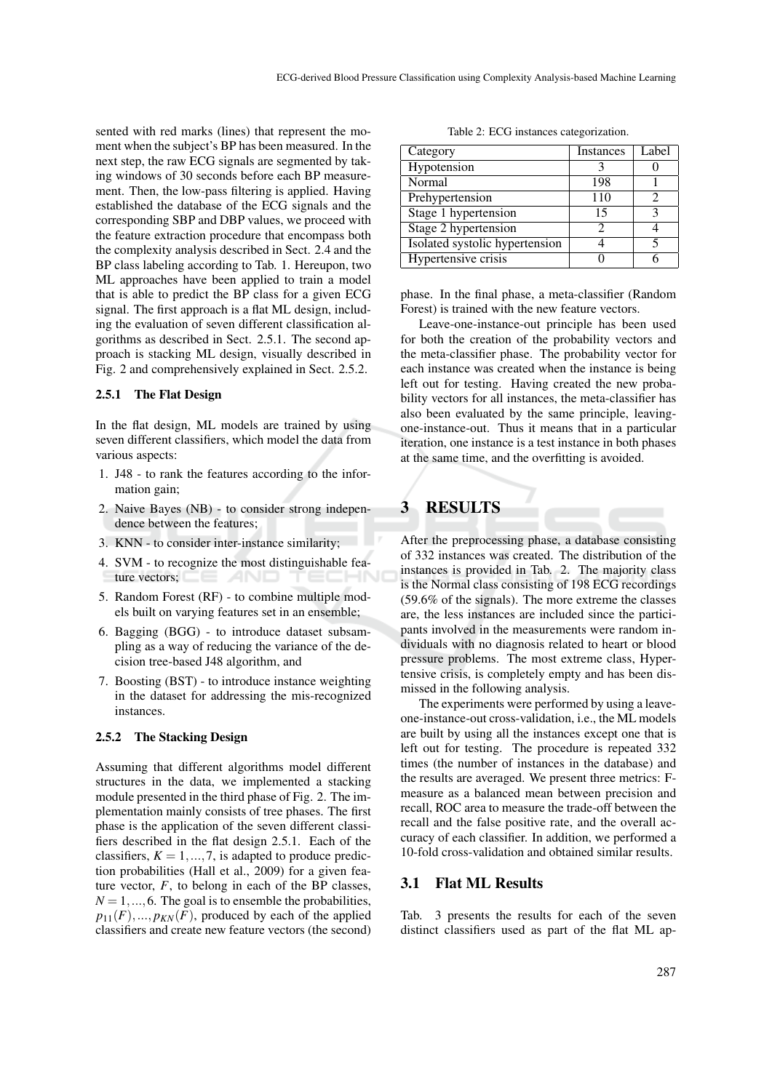sented with red marks (lines) that represent the moment when the subject's BP has been measured. In the next step, the raw ECG signals are segmented by taking windows of 30 seconds before each BP measurement. Then, the low-pass filtering is applied. Having established the database of the ECG signals and the corresponding SBP and DBP values, we proceed with the feature extraction procedure that encompass both the complexity analysis described in Sect. 2.4 and the BP class labeling according to Tab. 1. Hereupon, two ML approaches have been applied to train a model that is able to predict the BP class for a given ECG signal. The first approach is a flat ML design, including the evaluation of seven different classification algorithms as described in Sect. 2.5.1. The second approach is stacking ML design, visually described in Fig. 2 and comprehensively explained in Sect. 2.5.2.

#### 2.5.1 The Flat Design

In the flat design, ML models are trained by using seven different classifiers, which model the data from various aspects:

- 1. J48 to rank the features according to the information gain;
- 2. Naive Bayes (NB) to consider strong independence between the features;
- 3. KNN to consider inter-instance similarity;
- 4. SVM to recognize the most distinguishable feature vectors;
- 5. Random Forest (RF) to combine multiple models built on varying features set in an ensemble;
- 6. Bagging (BGG) to introduce dataset subsampling as a way of reducing the variance of the decision tree-based J48 algorithm, and
- 7. Boosting (BST) to introduce instance weighting in the dataset for addressing the mis-recognized instances.

#### 2.5.2 The Stacking Design

Assuming that different algorithms model different structures in the data, we implemented a stacking module presented in the third phase of Fig. 2. The implementation mainly consists of tree phases. The first phase is the application of the seven different classifiers described in the flat design 2.5.1. Each of the classifiers,  $K = 1, ..., 7$ , is adapted to produce prediction probabilities (Hall et al., 2009) for a given feature vector,  $F$ , to belong in each of the BP classes,  $N = 1, \ldots, 6$ . The goal is to ensemble the probabilities,  $p_{11}(F),..., p_{KN}(F)$ , produced by each of the applied classifiers and create new feature vectors (the second)

Table 2: ECG instances categorization.

| Category                       | Instances | Label |
|--------------------------------|-----------|-------|
| Hypotension                    |           |       |
| Normal                         | 198       |       |
| Prehypertension                | 110       |       |
| Stage 1 hypertension           | 15        |       |
| Stage 2 hypertension           |           |       |
| Isolated systolic hypertension |           |       |
| Hypertensive crisis            |           |       |

phase. In the final phase, a meta-classifier (Random Forest) is trained with the new feature vectors.

Leave-one-instance-out principle has been used for both the creation of the probability vectors and the meta-classifier phase. The probability vector for each instance was created when the instance is being left out for testing. Having created the new probability vectors for all instances, the meta-classifier has also been evaluated by the same principle, leavingone-instance-out. Thus it means that in a particular iteration, one instance is a test instance in both phases at the same time, and the overfitting is avoided.

# 3 RESULTS

After the preprocessing phase, a database consisting of 332 instances was created. The distribution of the instances is provided in Tab. 2. The majority class is the Normal class consisting of 198 ECG recordings (59.6% of the signals). The more extreme the classes are, the less instances are included since the participants involved in the measurements were random individuals with no diagnosis related to heart or blood pressure problems. The most extreme class, Hypertensive crisis, is completely empty and has been dismissed in the following analysis.

The experiments were performed by using a leaveone-instance-out cross-validation, i.e., the ML models are built by using all the instances except one that is left out for testing. The procedure is repeated 332 times (the number of instances in the database) and the results are averaged. We present three metrics: Fmeasure as a balanced mean between precision and recall, ROC area to measure the trade-off between the recall and the false positive rate, and the overall accuracy of each classifier. In addition, we performed a 10-fold cross-validation and obtained similar results.

## 3.1 Flat ML Results

Tab. 3 presents the results for each of the seven distinct classifiers used as part of the flat ML ap-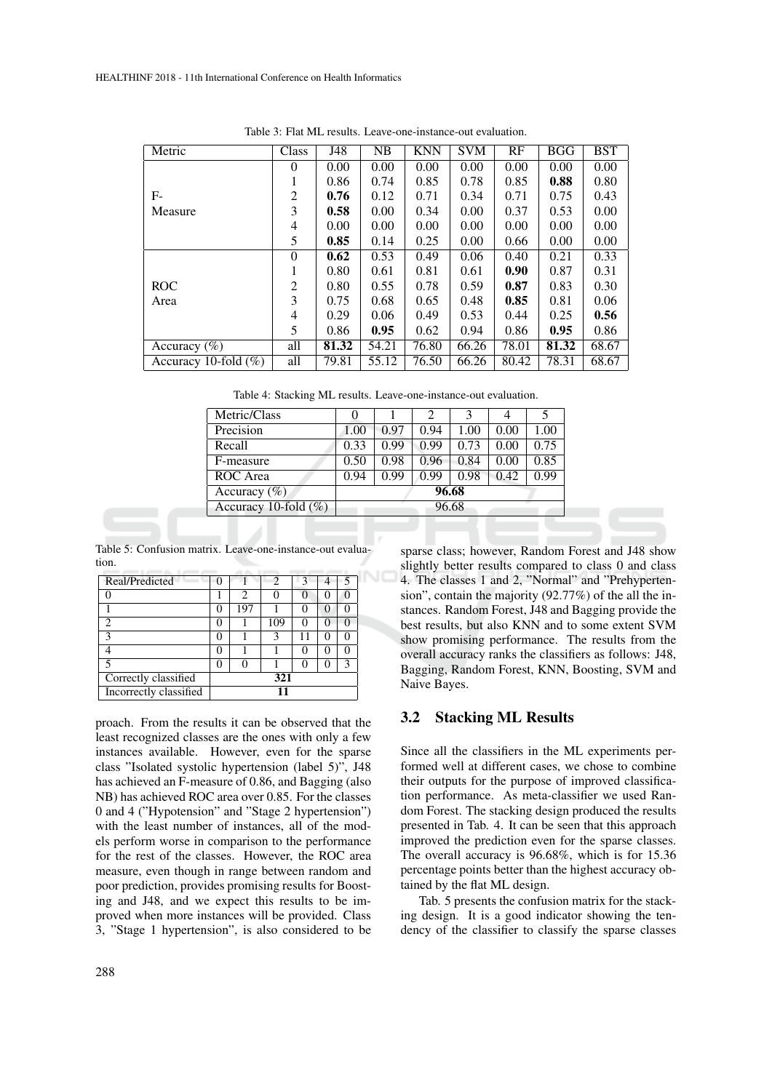| Metric                   | Class    | J48   | NB    | <b>KNN</b> | <b>SVM</b> | RF    | <b>BGG</b> | <b>BST</b> |
|--------------------------|----------|-------|-------|------------|------------|-------|------------|------------|
|                          | 0        | 0.00  | 0.00  | 0.00       | 0.00       | 0.00  | 0.00       | 0.00       |
|                          |          | 0.86  | 0.74  | 0.85       | 0.78       | 0.85  | 0.88       | 0.80       |
| F-                       | 2        | 0.76  | 0.12  | 0.71       | 0.34       | 0.71  | 0.75       | 0.43       |
| Measure                  | 3        | 0.58  | 0.00  | 0.34       | 0.00       | 0.37  | 0.53       | 0.00       |
|                          | 4        | 0.00  | 0.00  | 0.00       | 0.00       | 0.00  | 0.00       | 0.00       |
|                          | 5        | 0.85  | 0.14  | 0.25       | 0.00       | 0.66  | 0.00       | 0.00       |
|                          | $\theta$ | 0.62  | 0.53  | 0.49       | 0.06       | 0.40  | 0.21       | 0.33       |
|                          |          | 0.80  | 0.61  | 0.81       | 0.61       | 0.90  | 0.87       | 0.31       |
| <b>ROC</b>               | 2        | 0.80  | 0.55  | 0.78       | 0.59       | 0.87  | 0.83       | 0.30       |
| Area                     | 3        | 0.75  | 0.68  | 0.65       | 0.48       | 0.85  | 0.81       | 0.06       |
|                          | 4        | 0.29  | 0.06  | 0.49       | 0.53       | 0.44  | 0.25       | 0.56       |
|                          | 5        | 0.86  | 0.95  | 0.62       | 0.94       | 0.86  | 0.95       | 0.86       |
| Accuracy $(\% )$         | all      | 81.32 | 54.21 | 76.80      | 66.26      | 78.01 | 81.32      | 68.67      |
| Accuracy 10-fold $(\% )$ | all      | 79.81 | 55.12 | 76.50      | 66.26      | 80.42 | 78.31      | 68.67      |

Table 3: Flat ML results. Leave-one-instance-out evaluation.

Table 4: Stacking ML results. Leave-one-instance-out evaluation.

| Metric/Class             |       |      | 2    | 3    |      | 5    |
|--------------------------|-------|------|------|------|------|------|
| Precision                | 1.00  | 0.97 | 0.94 | 1.00 | 0.00 | 1.00 |
| Recall                   | 0.33  | 0.99 | 0.99 | 0.73 | 0.00 | 0.75 |
| F-measure                | 0.50  | 0.98 | 0.96 | 0.84 | 0.00 | 0.85 |
| ROC Area                 | 0.94  | 0.99 | 0.99 | 0.98 | 0.42 | 0.99 |
| Accuracy $(\% )$         | 96.68 |      |      |      |      |      |
| Accuracy 10-fold $(\% )$ | 96.68 |      |      |      |      |      |
|                          |       |      |      |      |      |      |

Table 5: Confusion matrix. Leave-one-instance-out evaluation.

| Real/Predicted         |               |     |     |  |  |  |
|------------------------|---------------|-----|-----|--|--|--|
|                        |               | 2   |     |  |  |  |
|                        | O             | 197 |     |  |  |  |
| っ                      | 0             |     | 109 |  |  |  |
| κ                      | 0             |     | 3   |  |  |  |
|                        | O             |     |     |  |  |  |
|                        | $\mathcal{L}$ |     |     |  |  |  |
| Correctly classified   | 321           |     |     |  |  |  |
| Incorrectly classified |               |     |     |  |  |  |

proach. From the results it can be observed that the least recognized classes are the ones with only a few instances available. However, even for the sparse class "Isolated systolic hypertension (label 5)", J48 has achieved an F-measure of 0.86, and Bagging (also NB) has achieved ROC area over 0.85. For the classes 0 and 4 ("Hypotension" and "Stage 2 hypertension") with the least number of instances, all of the models perform worse in comparison to the performance for the rest of the classes. However, the ROC area measure, even though in range between random and poor prediction, provides promising results for Boosting and J48, and we expect this results to be improved when more instances will be provided. Class 3, "Stage 1 hypertension", is also considered to be

sparse class; however, Random Forest and J48 show slightly better results compared to class 0 and class 4. The classes 1 and 2, "Normal" and "Prehypertension", contain the majority (92.77%) of the all the instances. Random Forest, J48 and Bagging provide the best results, but also KNN and to some extent SVM show promising performance. The results from the overall accuracy ranks the classifiers as follows: J48, Bagging, Random Forest, KNN, Boosting, SVM and Naive Bayes.

## 3.2 Stacking ML Results

Since all the classifiers in the ML experiments performed well at different cases, we chose to combine their outputs for the purpose of improved classification performance. As meta-classifier we used Random Forest. The stacking design produced the results presented in Tab. 4. It can be seen that this approach improved the prediction even for the sparse classes. The overall accuracy is 96.68%, which is for 15.36 percentage points better than the highest accuracy obtained by the flat ML design.

Tab. 5 presents the confusion matrix for the stacking design. It is a good indicator showing the tendency of the classifier to classify the sparse classes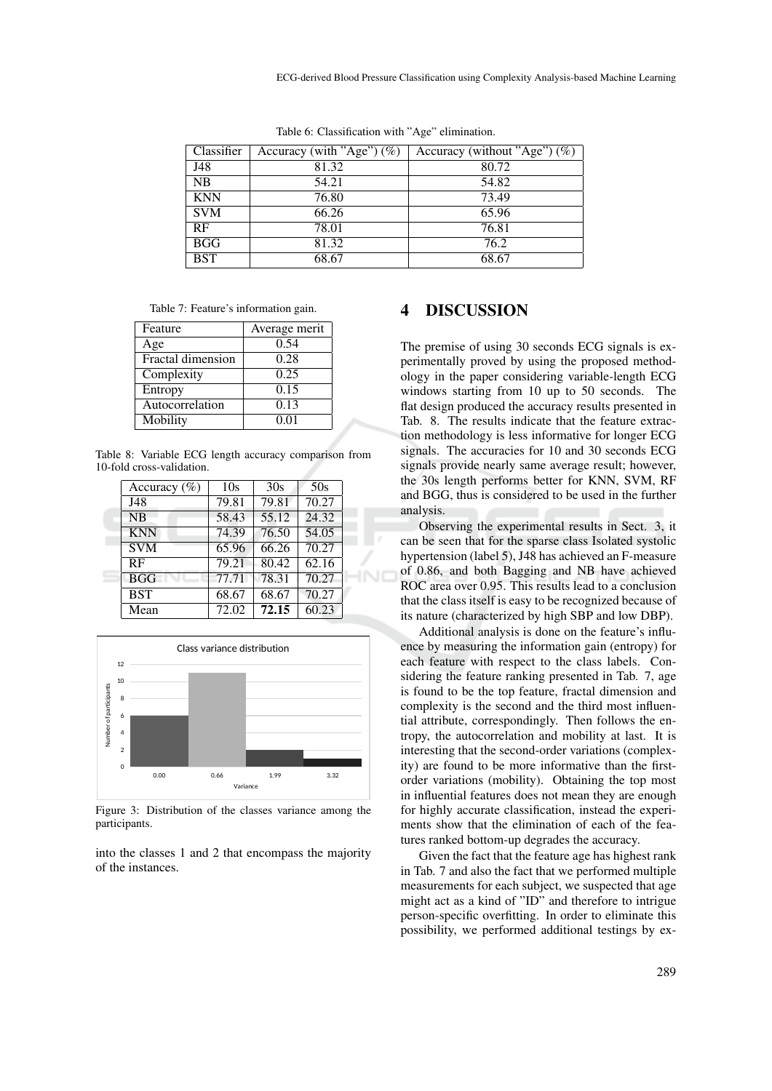| Classifier | Accuracy (with "Age") $(\%)$ | Accuracy (without "Age") $(\%)$ |
|------------|------------------------------|---------------------------------|
| J48        | 81.32                        | 80.72                           |
| <b>NB</b>  | 54.21                        | 54.82                           |
| <b>KNN</b> | 76.80                        | 73.49                           |
| <b>SVM</b> | 66.26                        | 65.96                           |
| RF         | 78.01                        | 76.81                           |
| <b>BGG</b> | 81.32                        | 76.2                            |
| <b>BST</b> | 68.67                        | 68.67                           |

Table 6: Classification with "Age" elimination.

Table 7: Feature's information gain.

| Feature           | Average merit |
|-------------------|---------------|
| Age               | 0.54          |
| Fractal dimension | 0.28          |
| Complexity        | 0.25          |
| Entropy           | 0.15          |
| Autocorrelation   | 0.13          |
| Mobility          | 0.01          |

Table 8: Variable ECG length accuracy comparison from 10-fold cross-validation.

| Accuracy $(\% )$ | 10s   | 30s   | 50s                |  |
|------------------|-------|-------|--------------------|--|
| J48              | 79.81 | 79.81 | 70.27              |  |
| <b>NB</b>        | 58.43 | 55.12 | $\overline{24.32}$ |  |
| <b>KNN</b>       | 74.39 | 76.50 | $\overline{54.05}$ |  |
| <b>SVM</b>       | 65.96 | 66.26 | 70.27              |  |
| RF               | 79.21 | 80.42 | 62.16              |  |
| <b>BGG</b>       | 77.71 | 78.31 | 70.27              |  |
| <b>BST</b>       | 68.67 | 68.67 | 70.27              |  |
| Mean             | 72.02 | 72.15 | 60.23              |  |
|                  |       |       |                    |  |



Figure 3: Distribution of the classes variance among the participants.

into the classes 1 and 2 that encompass the majority of the instances.

# 4 DISCUSSION

The premise of using 30 seconds ECG signals is experimentally proved by using the proposed methodology in the paper considering variable-length ECG windows starting from 10 up to 50 seconds. The flat design produced the accuracy results presented in Tab. 8. The results indicate that the feature extraction methodology is less informative for longer ECG signals. The accuracies for 10 and 30 seconds ECG signals provide nearly same average result; however, the 30s length performs better for KNN, SVM, RF and BGG, thus is considered to be used in the further analysis.

Observing the experimental results in Sect. 3, it can be seen that for the sparse class Isolated systolic hypertension (label 5), J48 has achieved an F-measure of 0.86, and both Bagging and NB have achieved ROC area over 0.95. This results lead to a conclusion that the class itself is easy to be recognized because of its nature (characterized by high SBP and low DBP).

Additional analysis is done on the feature's influence by measuring the information gain (entropy) for each feature with respect to the class labels. Considering the feature ranking presented in Tab. 7, age is found to be the top feature, fractal dimension and complexity is the second and the third most influential attribute, correspondingly. Then follows the entropy, the autocorrelation and mobility at last. It is interesting that the second-order variations (complexity) are found to be more informative than the firstorder variations (mobility). Obtaining the top most in influential features does not mean they are enough for highly accurate classification, instead the experiments show that the elimination of each of the features ranked bottom-up degrades the accuracy.

Given the fact that the feature age has highest rank in Tab. 7 and also the fact that we performed multiple measurements for each subject, we suspected that age might act as a kind of "ID" and therefore to intrigue person-specific overfitting. In order to eliminate this possibility, we performed additional testings by ex-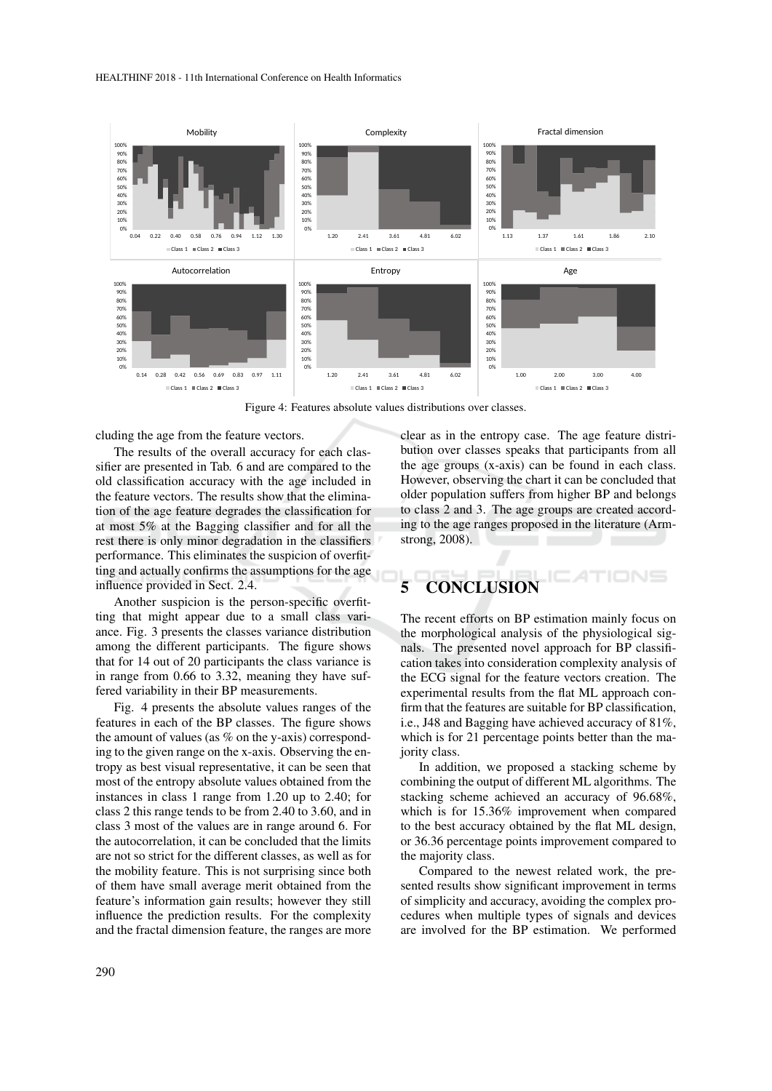

Figure 4: Features absolute values distributions over classes.

cluding the age from the feature vectors.

The results of the overall accuracy for each classifier are presented in Tab. 6 and are compared to the old classification accuracy with the age included in the feature vectors. The results show that the elimination of the age feature degrades the classification for at most 5% at the Bagging classifier and for all the rest there is only minor degradation in the classifiers performance. This eliminates the suspicion of overfitting and actually confirms the assumptions for the age influence provided in Sect. 2.4.

Another suspicion is the person-specific overfitting that might appear due to a small class variance. Fig. 3 presents the classes variance distribution among the different participants. The figure shows that for 14 out of 20 participants the class variance is in range from 0.66 to 3.32, meaning they have suffered variability in their BP measurements.

Fig. 4 presents the absolute values ranges of the features in each of the BP classes. The figure shows the amount of values (as % on the y-axis) corresponding to the given range on the x-axis. Observing the entropy as best visual representative, it can be seen that most of the entropy absolute values obtained from the instances in class 1 range from 1.20 up to 2.40; for class 2 this range tends to be from 2.40 to 3.60, and in class 3 most of the values are in range around 6. For the autocorrelation, it can be concluded that the limits are not so strict for the different classes, as well as for the mobility feature. This is not surprising since both of them have small average merit obtained from the feature's information gain results; however they still influence the prediction results. For the complexity and the fractal dimension feature, the ranges are more

clear as in the entropy case. The age feature distribution over classes speaks that participants from all the age groups (x-axis) can be found in each class. However, observing the chart it can be concluded that older population suffers from higher BP and belongs to class 2 and 3. The age groups are created according to the age ranges proposed in the literature (Armstrong, 2008).

# 5 CONCLUSION

The recent efforts on BP estimation mainly focus on the morphological analysis of the physiological signals. The presented novel approach for BP classification takes into consideration complexity analysis of the ECG signal for the feature vectors creation. The experimental results from the flat ML approach confirm that the features are suitable for BP classification, i.e., J48 and Bagging have achieved accuracy of 81%, which is for 21 percentage points better than the majority class.

In addition, we proposed a stacking scheme by combining the output of different ML algorithms. The stacking scheme achieved an accuracy of 96.68%, which is for 15.36% improvement when compared to the best accuracy obtained by the flat ML design, or 36.36 percentage points improvement compared to the majority class.

Compared to the newest related work, the presented results show significant improvement in terms of simplicity and accuracy, avoiding the complex procedures when multiple types of signals and devices are involved for the BP estimation. We performed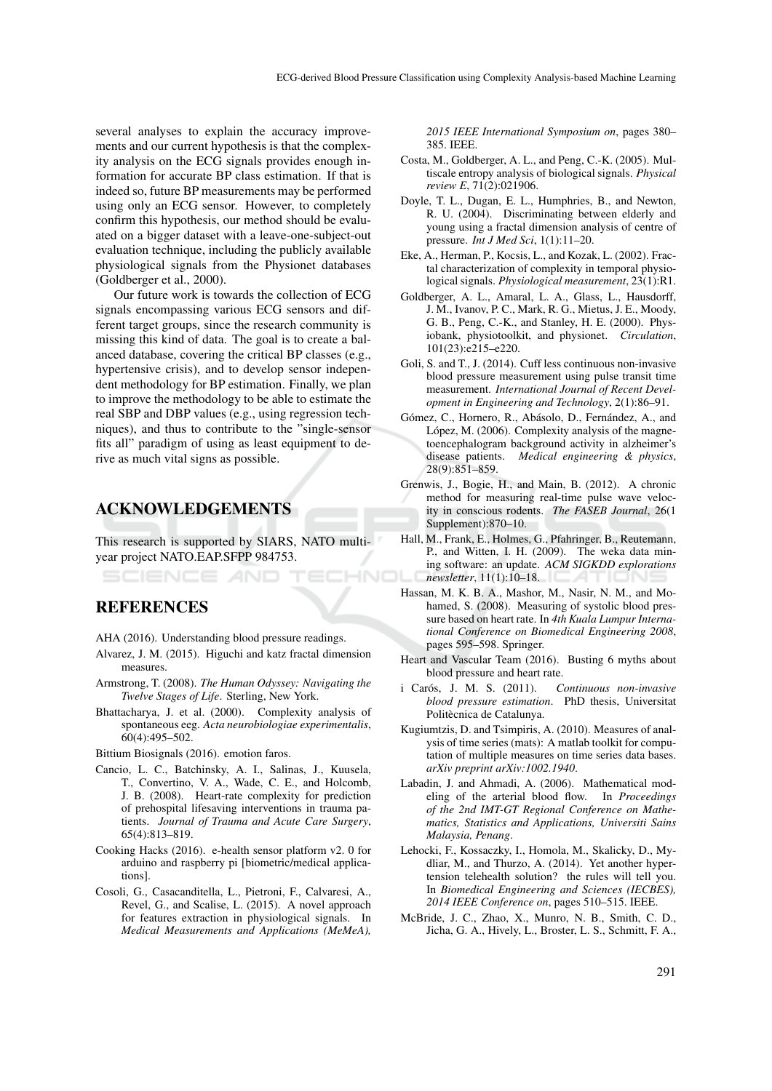several analyses to explain the accuracy improvements and our current hypothesis is that the complexity analysis on the ECG signals provides enough information for accurate BP class estimation. If that is indeed so, future BP measurements may be performed using only an ECG sensor. However, to completely confirm this hypothesis, our method should be evaluated on a bigger dataset with a leave-one-subject-out evaluation technique, including the publicly available physiological signals from the Physionet databases (Goldberger et al., 2000).

Our future work is towards the collection of ECG signals encompassing various ECG sensors and different target groups, since the research community is missing this kind of data. The goal is to create a balanced database, covering the critical BP classes (e.g., hypertensive crisis), and to develop sensor independent methodology for BP estimation. Finally, we plan to improve the methodology to be able to estimate the real SBP and DBP values (e.g., using regression techniques), and thus to contribute to the "single-sensor fits all" paradigm of using as least equipment to derive as much vital signs as possible.

# ACKNOWLEDGEMENTS

This research is supported by SIARS, NATO multiyear project NATO.EAP.SFPP 984753.

## **REFERENCES**

- AHA (2016). Understanding blood pressure readings.
- Alvarez, J. M. (2015). Higuchi and katz fractal dimension measures.
- Armstrong, T. (2008). *The Human Odyssey: Navigating the Twelve Stages of Life*. Sterling, New York.
- Bhattacharya, J. et al. (2000). Complexity analysis of spontaneous eeg. *Acta neurobiologiae experimentalis*, 60(4):495–502.

Bittium Biosignals (2016). emotion faros.

- Cancio, L. C., Batchinsky, A. I., Salinas, J., Kuusela, T., Convertino, V. A., Wade, C. E., and Holcomb, J. B. (2008). Heart-rate complexity for prediction of prehospital lifesaving interventions in trauma patients. *Journal of Trauma and Acute Care Surgery*, 65(4):813–819.
- Cooking Hacks (2016). e-health sensor platform v2. 0 for arduino and raspberry pi [biometric/medical applications].
- Cosoli, G., Casacanditella, L., Pietroni, F., Calvaresi, A., Revel, G., and Scalise, L. (2015). A novel approach for features extraction in physiological signals. In *Medical Measurements and Applications (MeMeA),*

*2015 IEEE International Symposium on*, pages 380– 385. IEEE.

- Costa, M., Goldberger, A. L., and Peng, C.-K. (2005). Multiscale entropy analysis of biological signals. *Physical review E*, 71(2):021906.
- Doyle, T. L., Dugan, E. L., Humphries, B., and Newton, R. U. (2004). Discriminating between elderly and young using a fractal dimension analysis of centre of pressure. *Int J Med Sci*, 1(1):11–20.
- Eke, A., Herman, P., Kocsis, L., and Kozak, L. (2002). Fractal characterization of complexity in temporal physiological signals. *Physiological measurement*, 23(1):R1.
- Goldberger, A. L., Amaral, L. A., Glass, L., Hausdorff, J. M., Ivanov, P. C., Mark, R. G., Mietus, J. E., Moody, G. B., Peng, C.-K., and Stanley, H. E. (2000). Physiobank, physiotoolkit, and physionet. *Circulation*, 101(23):e215–e220.
- Goli, S. and T., J. (2014). Cuff less continuous non-invasive blood pressure measurement using pulse transit time measurement. *International Journal of Recent Development in Engineering and Technology*, 2(1):86–91.
- Gómez, C., Hornero, R., Abásolo, D., Fernández, A., and López, M. (2006). Complexity analysis of the magnetoencephalogram background activity in alzheimer's disease patients. *Medical engineering & physics*, 28(9):851–859.
- Grenwis, J., Bogie, H., and Main, B. (2012). A chronic method for measuring real-time pulse wave velocity in conscious rodents. *The FASEB Journal*, 26(1 Supplement):870–10.
- Hall, M., Frank, E., Holmes, G., Pfahringer, B., Reutemann, P., and Witten, I. H. (2009). The weka data mining software: an update. *ACM SIGKDD explorations* HNO *newsletter*, 11(1):10–18.
	- Hassan, M. K. B. A., Mashor, M., Nasir, N. M., and Mohamed, S. (2008). Measuring of systolic blood pressure based on heart rate. In *4th Kuala Lumpur International Conference on Biomedical Engineering 2008*, pages 595–598. Springer.
	- Heart and Vascular Team (2016). Busting 6 myths about blood pressure and heart rate.
	- i Carós, J. M. S. (2011). Continuous non-invasive *blood pressure estimation*. PhD thesis, Universitat Politècnica de Catalunya.
	- Kugiumtzis, D. and Tsimpiris, A. (2010). Measures of analysis of time series (mats): A matlab toolkit for computation of multiple measures on time series data bases. *arXiv preprint arXiv:1002.1940*.
	- Labadin, J. and Ahmadi, A. (2006). Mathematical modeling of the arterial blood flow. In *Proceedings of the 2nd IMT-GT Regional Conference on Mathematics, Statistics and Applications, Universiti Sains Malaysia, Penang*.
	- Lehocki, F., Kossaczky, I., Homola, M., Skalicky, D., Mydliar, M., and Thurzo, A. (2014). Yet another hypertension telehealth solution? the rules will tell you. In *Biomedical Engineering and Sciences (IECBES), 2014 IEEE Conference on*, pages 510–515. IEEE.
	- McBride, J. C., Zhao, X., Munro, N. B., Smith, C. D., Jicha, G. A., Hively, L., Broster, L. S., Schmitt, F. A.,